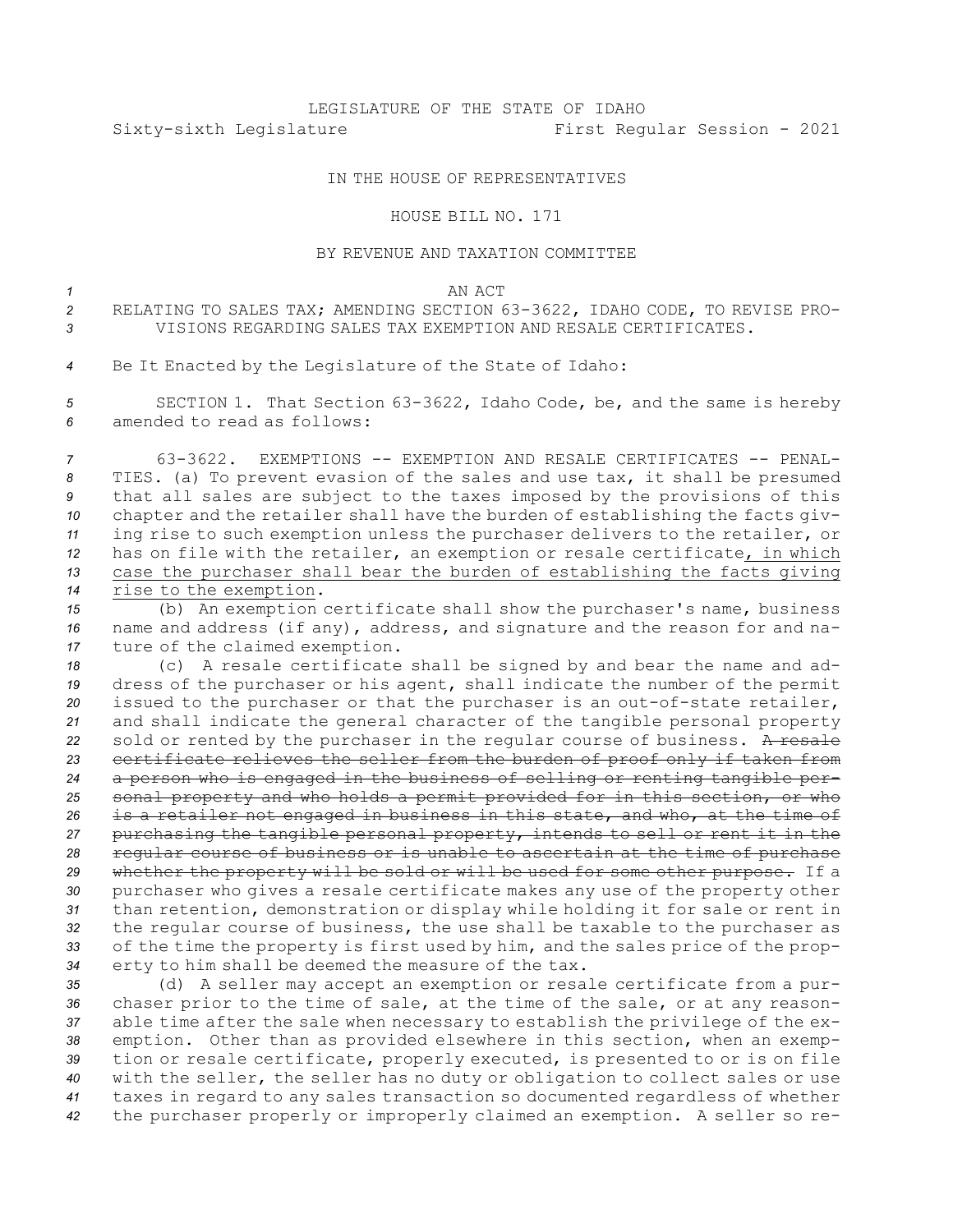## IN THE HOUSE OF REPRESENTATIVES

HOUSE BILL NO. 171

## BY REVENUE AND TAXATION COMMITTEE

*1* AN ACT

*<sup>2</sup>* RELATING TO SALES TAX; AMENDING SECTION 63-3622, IDAHO CODE, TO REVISE PRO-*3* VISIONS REGARDING SALES TAX EXEMPTION AND RESALE CERTIFICATES.

*<sup>4</sup>* Be It Enacted by the Legislature of the State of Idaho:

*<sup>5</sup>* SECTION 1. That Section 63-3622, Idaho Code, be, and the same is hereby *6* amended to read as follows:

 63-3622. EXEMPTIONS -- EXEMPTION AND RESALE CERTIFICATES -- PENAL- TIES. (a) To prevent evasion of the sales and use tax, it shall be presumed that all sales are subject to the taxes imposed by the provisions of this chapter and the retailer shall have the burden of establishing the facts giv- ing rise to such exemption unless the purchaser delivers to the retailer, or has on file with the retailer, an exemption or resale certificate, in which case the purchaser shall bear the burden of establishing the facts giving rise to the exemption.

*<sup>15</sup>* (b) An exemption certificate shall show the purchaser's name, business *<sup>16</sup>* name and address (if any), address, and signature and the reason for and na-*<sup>17</sup>* ture of the claimed exemption.

 (c) <sup>A</sup> resale certificate shall be signed by and bear the name and ad- dress of the purchaser or his agent, shall indicate the number of the permit issued to the purchaser or that the purchaser is an out-of-state retailer, and shall indicate the general character of the tangible personal property 22 sold or rented by the purchaser in the regular course of business. A resale certificate relieves the seller from the burden of proof only if taken from <sup>a</sup> person who is engaged in the business of selling or renting tangible per- sonal property and who holds <sup>a</sup> permit provided for in this section, or who is <sup>a</sup> retailer not engaged in business in this state, and who, at the time of purchasing the tangible personal property, intends to sell or rent it in the regular course of business or is unable to ascertain at the time of purchase whether the property will be sold or will be used for some other purpose. If <sup>a</sup> purchaser who gives <sup>a</sup> resale certificate makes any use of the property other than retention, demonstration or display while holding it for sale or rent in the regular course of business, the use shall be taxable to the purchaser as of the time the property is first used by him, and the sales price of the prop-erty to him shall be deemed the measure of the tax.

 (d) <sup>A</sup> seller may accept an exemption or resale certificate from <sup>a</sup> pur- chaser prior to the time of sale, at the time of the sale, or at any reason- able time after the sale when necessary to establish the privilege of the ex- emption. Other than as provided elsewhere in this section, when an exemp- tion or resale certificate, properly executed, is presented to or is on file with the seller, the seller has no duty or obligation to collect sales or use taxes in regard to any sales transaction so documented regardless of whether the purchaser properly or improperly claimed an exemption. <sup>A</sup> seller so re-